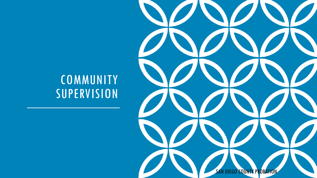

 $\boldsymbol{J}$ 

### **COMMUNITY** SUPERVISION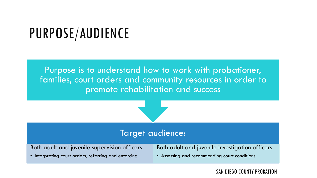## PURPOSE/AUDIENCE

Purpose is to understand how to work with probationer, families, court orders and community resources in order to promote rehabilitation and success



### Target audience:

Both adult and juvenile supervision officers

Both adult and juvenile investigation officers

• Interpreting court orders, referring and enforcing

• Assessing and recommending court conditions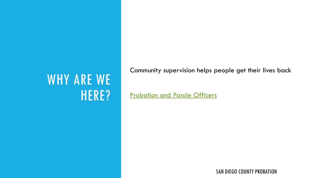### WHY ARE WE HERE?

Community supervision helps people get their lives back

[Probation and Parole Officers](https://www.youtube.com/watch?v=VNwqRASyRoQ)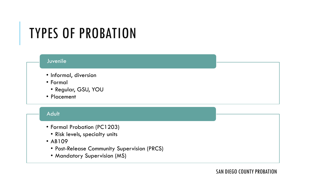### TYPES OF PROBATION

#### Juvenile

- Informal, diversion
- Formal
	- Regular, GSU, YOU
- Placement

#### Adult

- Formal Probation (PC1203)
	- Risk levels, specialty units
- AB109
	- Post-Release Community Supervision (PRCS)
	- Mandatory Supervision (MS)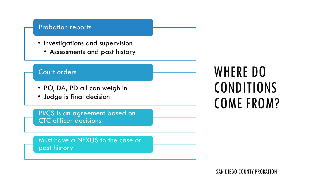#### Probation reports

- Investigations and supervision
	- Assessments and past history

#### Court orders

- PO, DA, PD all can weigh in
- Judge is final decision

PRCS is an agreement based on CTC officer decisions

Must have a NEXUS to the case or past history

### WHERE DO CONDITIONS COME FROM?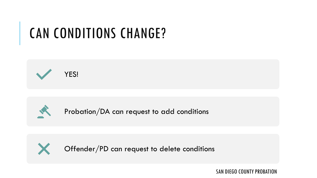# CAN CONDITIONS CHANGE?





Probation/DA can request to add conditions



Offender/PD can request to delete conditions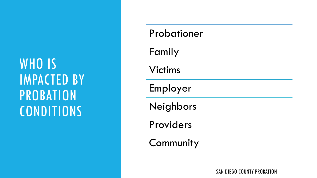## WHO IS IMPACTED BY PROBATION CONDITIONS

| Probationer |
|-------------|
| Family      |
| Victims     |
| Employer    |
| Neighbors   |
| Providers   |
| Community   |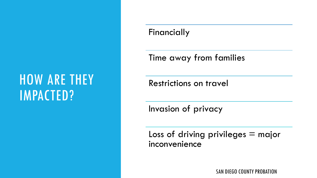### HOW ARE THEY IMPACTED?

### Financially

Time away from families

Restrictions on travel

Invasion of privacy

Loss of driving privileges  $=$  major inconvenience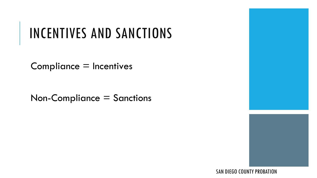# INCENTIVES AND SANCTIONS

Compliance = Incentives

Non-Compliance = Sanctions



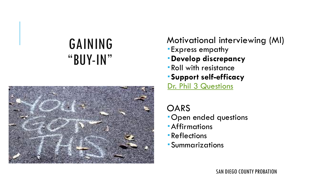### GAINING "BUY-IN"



### Motivational interviewing (MI)

- Express empathy
- **Develop discrepancy**
- Roll with resistance
- **Support self-efficacy**

[Dr. Phil 3 Questions](https://www.youtube.com/watch?v=thlJXtKyorU)

### OARS

- Open ended questions
- Affirmations
- Reflections
- Summarizations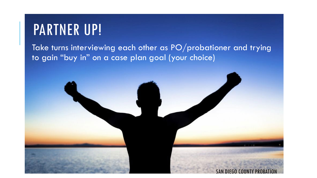### PARTNER UP!

### Take turns interviewing each other as PO/probationer and trying to gain "buy in" on a case plan goal (your choice)

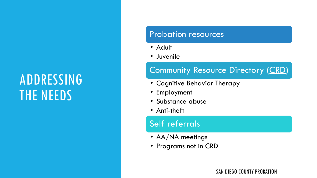## ADDRESSING THE NEEDS

#### Probation resources

- Adult
- Juvenile

### Community Resource Directory ([CRD](https://sdcountycagov.sharepoint.com/sites/Probation/Treatment_Unit/SitePages/Home.aspx))

- Cognitive Behavior Therapy
- Employment
- Substance abuse
- Anti-theft

### Self referrals

- AA/NA meetings
- Programs not in CRD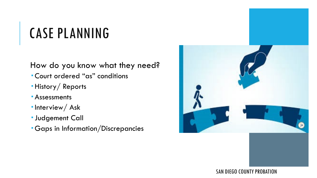# CASE PLANNING

How do you know what they need?

- Court ordered "as" conditions
- History/ Reports
- Assessments
- $\blacksquare$ Interview/Ask
- **Judgement Call**
- Gaps in Information/Discrepancies

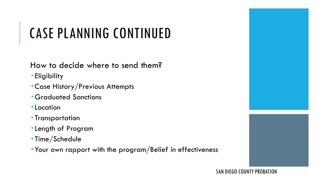# CASE PLANNING CONTINUED

How to decide where to send them?

- **Eligibility**
- Case History/Previous Attempts
- **Graduated Sanctions**
- **-Location**
- **Transportation**
- Length of Program
- Time/Schedule
- Your own rapport with the program/Belief in effectiveness



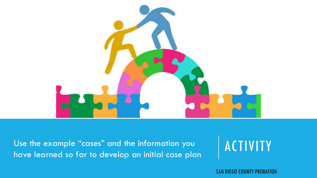

Use the example "cases" and the information you and a set of  $\overline{A C I V I V}$ have learned so far to develop an initial case plan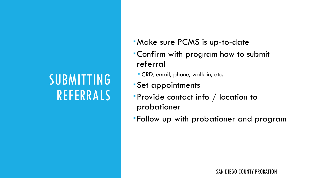## SUBMITTING REFERRALS

- Make sure PCMS is up-to-date
- Confirm with program how to submit referral
	- CRD, email, phone, walk-in, etc.
- Set appointments
- Provide contact info / location to probationer
- Follow up with probationer and program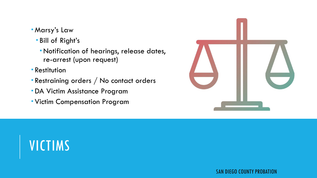- Marsy's Law
	- Bill of Right's
		- Notification of hearings, release dates, re-arrest (upon request)
- **Restitution**
- Restraining orders / No contact orders
- DA Victim Assistance Program
- Victim Compensation Program

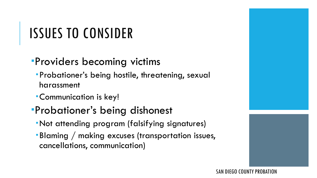# ISSUES TO CONSIDER

### Providers becoming victims

- Probationer's being hostile, threatening, sexual harassment
- Communication is key!

### Probationer's being dishonest

- Not attending program (falsifying signatures)
- Blaming / making excuses (transportation issues, cancellations, communication)